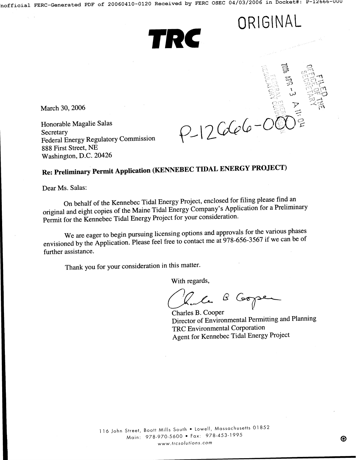TRC



**ORIGINAL** 

**March 30, 2006** 

**Honorable Magalie Salas Secretary Federal Energy Regulatory Commission 888 First Street, NE Washington, D.C. 20426** 

## **Re: Preliminary Permit Application (KENNEBEC TIDAL ENERGY PROJECT)**

Dear Ms. Salas:

**On behalf of the Kennebec Tidal Energy Project, enclosed for filing please find an original and eight copies of the Maine Tidal Energy Company's Application for a Preliminary**  Permit for the Kennebec Tidal Energy Project for your consideration.

**We are eager to begin pursuing licensing options and approvals for the various phases envisioned by the Application. Please feel free to contact me at 978-656-3567 if we can be of further assistance.** 

**Thank you for your consideration in this matter.** 

**With regards,** 

le B Cooper

**Charles B. Cooper Director of Environmental Permitting and Planning TRC Environmental Corporation Agent for Kennebec Tidal Energy Project**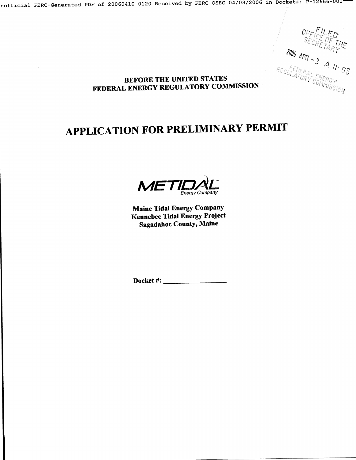${\tt nofficial}$  FERC-Generated PDF of 20060410-0120 Received by FERC OSEC 04/03/2006 in Docket#: P-12666-UUU

*' ~:i { TM ..... ?~o~ x p,..? -3 .~, / / :* 

## BEFORE THE UNITED STATES FEDERAL ENERGY REGULATORY COMMISSION

# **.APPLICATION FOR PRELIMINARY PERMIT**

*<sup>I</sup>ID, l Energy Company* 

Maine Tidal Energy Company Kennebec Tidal Energy Project Sagadahoc County, Maine

Docket #: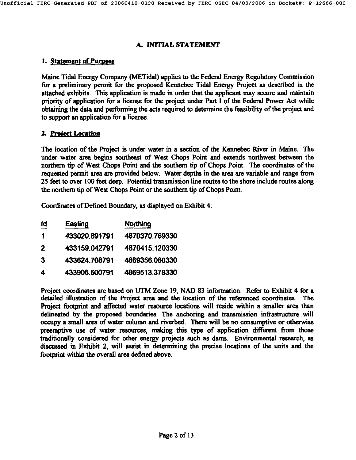#### A, INITIAL STATEMENT

## 1. Statement of Purpose

Maine Tidal Energy Company (METidal) applies to the Federal Energy Regulatory Commission for a preliminary permit for the proposed Kennebec Tidal Energy Project as described in the attached exhibits. This application is made in order that the applicant may secure and maintain priority of application for a license for the project under Part i of the Federal Power Act while obtaining the data and performing the acts required to determine the feasibility of the project and to support an application for a license.

## 2. Preiect Location

The location of the Project is under water in a section of the Kennebec River in Maine. The under water area begins southeast of West Chops Point and extends northwest between the northern tip of West Chops Point and the southern tip of Chops Point. The coordinates of the requested permit area are provided below. Water depths in the area are variable and range from 25 feet to over 100 feet deep. Potential transmission line routes to the shore include routes along the northern tip of West Chops Point or the southern tip of Chops Point.

Coordinates of Defined Boundary, as displayed on Exhibit **4:** 

| īq | Easting       | Northing       |
|----|---------------|----------------|
| 1  | 433020.891791 | 4870370.769330 |
| 2  | 433159.042791 | 4870415.120330 |
| 3  | 433624.708791 | 4869356,080330 |
| 4  | 433906.600791 | 4869513.378330 |

Project coordinates are based on UTM Zone 19, NAD 83 information. Refer to Exhibit 4 for a detailed illustration of the Project area and the location of the referenced coordinates. The Project footprint and affected water resource locations will reside within a smaller area than delineated by the proposed boundaries. The anchoring and transmission infrastructure will occupy a small area of water column and riverbed. There will be no consumptive or otherwise preemptive use of water resources, making this type of application different from those traditionally considered for other energy projects such as dams. Environmental research, as discussed in Exhibit 2, will assist in determining the precise locations of the units and the footprint within the overall area defined above.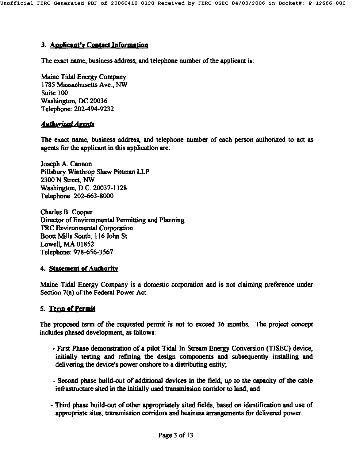## **3. Anolicaut's Contact Information**

The exact name, business address, and telephone number of the applicant is:

Maine Tidal Energy Company 1785 Massachusetts Ave., NW Suite 100 Washington, DC 20036 Telephone: 202-494-9232

## **Authorized Agents**

The exact name, business address, and telephone number of each person authorized to act as agents for the applicant in this application are:

Joseph A. Cannon Pillsbury Winthrop Shaw Pittman LLP 2300 N Street, NW Washington, D.C. 20037-1128 Telephone: 202-663-8000

Charles B. Cooper Director of Environmental Permitting and Planning TRC Environmental Corporation Boott Mills South, 116 John St. Lowell, MA 01852 Telephone: 978-656-3567

## **4. Statement of Authority**

Maine Tidal Energy Company is a domestic corporation and is not claiming preference under Section 7(a) of the Federal Power Act.

## **5. Term of Permit**

The proposed term of the requested permit is not to exceed 36 months. The project concept includes phased development, as follows:

- First Phase demonstration of a pilot Tidal In Stream Energy Conversion (TISEC) device, initially testing and refining the design components and subsequently installing and delivering the device's power onshore to a distributing entity;
- Second phase build-out of additional devices in the field, up to the capacity of the cable infrastructure sited in the initially used transmission corridor to land; and
- Third phase build-out of other appropriately sited fields, based on identification and use of appropriate sites, transmission corridors and business arrangements for delivered power.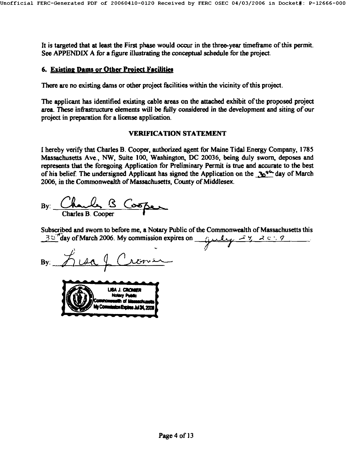It is targeted that at least the First phase would occur in the three-year timeframe of this permit. See APPENDIX A for a figure illustrating the conceptual schedule for the project.

## **6. Existing Dams or Other Project Facilities**

There are no existing dams or other project facilities within the vicinity of this project.

The applicant has identified existing cable areas on the attached exhibit of the proposed project area. These infrastructure elements will be fully considered in the development and siting of our project in preparation for a license application.

#### VERIFICATION STATEMENT

I hereby verify that Charles B. Cooper, authorized agent for Maine Tidal Energy Company, 1785 Massachusetts Ave., NW, Suite 100, Washington, DC 20036, being duly sworn, deposes and represents that the foregoing Application for Preliminary Permit is true and accurate to the best of his belief. The undersigned Applicant has signed the Application on the  $\Delta t^{\prime\prime}$  day of March 2006, in the Commonwealth of Massachusetts, County of Middlesex.

By: Charles B Cooper

Subscribed and sworn to before me, a Notary Public of the Commonwealth of Massachusetts this  $\frac{30^{\circ}}{4}$  day of March 2006. My commission expires on  $\frac{1}{2}$  electric  $\frac{2000}{4}$ 

/

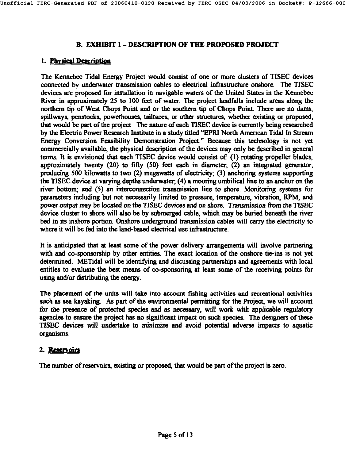## **B. EXHIBIT I - DESCRIPTION OF THE PROPOSED PROJECT**

## 1. physical Descriofion

The Kennebec Tidal Energy Project would consist of one or more clusters of TISEC devices connected by underwater transmission cables to electrical infrastructure onshore. The TISEC devices are proposed for installation in navigable waters of the United States in the Kennebec River in approximately 25 to 100 feet of water. The project landfalls include areas along the northern tip of West Chops Point and or the southern tip of Chops Point. There are no dams, spillways, penstocks, powerhouses, tailraces, or other structures, whether existing or proposed, that would be part of the project. The nature of each TISEC device is currently being researched by the Electric Power Research Institute in a study titled "EPR1 North American Tidal In Stream Energy Conversion Feasibility Demonstration Project." Because this technology is not yet commercially available, the physical description of the devices may only be described in general terms. It is envisioned that each TISEC device would consist of: (1) rotating propeller blades, approximately twenty (20) to fifty (50) feet each in diameter, (2) an integrated generator, producing 500 kilowatts to two (2) megawatts of electricity; (3) anchoring systems supporting the TISEC device at varying depths underwater, (4) a mooting umbilical line to an anchor on the river bottom; and (5) an intefconnection transmission line to shore. Monitoring systems for parameters including but not necessarily limited to pressure, temperature, vibration, RPM, and power output may be located on the TISEC devices and on shore. Transmission from the TISEC device cluster to shore will also be by submerged cable, which may be buried beneath the river bed in its inshore portion. Onshore underground transmission cables will carry the electricity to where it will be fed into the land-based electrical use infrastructure.

It is anticipated that at least some of the power defivery arrangements will involve partnering with and co-sponsorship by other entities. The exact location of the onshore tie-ins is not yet determined. METidai will be identifying and discussing partnerships and agreements with local entities to evaluate the best means of co-sponsoring at least some of the receiving points for using and/or distributing the energy.

The placement of the units will take into account fishing activities and recreational activities such as sea kayaking. As part of the environmental permitting for the Project, we will account for the presence of protected species and as necessary, will work with applicable regulatory agencies to ensure the project has no significant impact on such species. The designers of these TISEC devices will undertake to minimize and avoid potential adverse impacts to aquatic organisms.

## 2. Reservoirs

The number of reservoirs, existing or proposed, that would be part of the project is zero.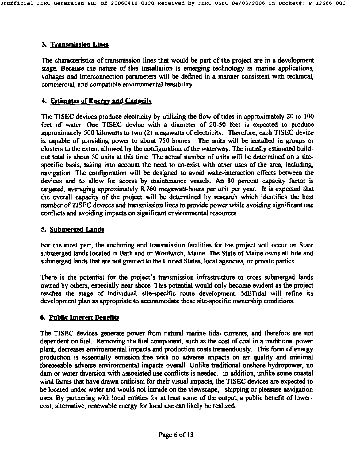## **3. Transmission Lines**

The characteristics of transmission lines that would be part of the project are in a development stage. Because the nature of this installation is emerging technology in marine applications, voltages and interconnection parameters will be defined in a manner consistent with technical, commercial, and compatible environmental feasibility.

## **4. Estimates of Energy and Capacity**

The TISEC devices produce electricity by utilizing the flow of tides in approximately 20 to 100 feet of water. One TISEC device with a diameter of 20-50 feet is expected to produce approximately 500 kilowatts to two (2) megawatts of electricity. Therefore, each TISEC device is capable of providing power to about 750 homes. The units will be installed in groups or clusters to the extent allowed by the configuration of the waterway. The initially estimated buildout total is about 50 units at this time. The actual number of units will be determined on a sitespecific basis, taking into account the need to co-exist with other uses of the area, including, navigation. The configuration will be designed to avoid wake-interaction effects between the devices and to allow for access by maintenance vessels. An 80 percent capacity factor is targeted, averaging approximately 8,760 megawatt-hours per unit per year. It is expected that the overall capacity of the project will be determined by research which identifies the best number ot'TISEC devices and transmission lines to provide power while avoiding significant use conflicts and avoiding impacts on significant environmental resources.

## **5. Submerged Lands**

For the most part, the anchoring and transmission facilities for the project will occur on State submerged lands located in Bath and or Woolwich, Maine. The State of Maine owns all tide and submerged lands that are not granted to the United States, local agencies, or private parties.

There is the potential for the project's transmission infrastructure to cross submerged lands owned by others, especially near shore. This potential would only become evident as the project reaches the stage of individual, site-specific route development. METidal will refine its development plan as appropriate to accommodate these site-specific ownership conditions.

## 6. Public laterest Benefits

The TISEC devices generate power from natural marine tidal currents, and therefore are not dependent on fuel. Removing the fuel component, such as the cost of coal in a traditional power plant, decreases environmental impacts and production costs tremendously. This form of energy production is essentially emission-free with no adverse impacts on air quality and minimal foreseeable adverse environmental impacts overall. Unlike traditional onshore hydropuwer, no dam or water diversion with associated use conflicts is needed. In addition, unlike some coastal wind farms that have drawn criticism for their visual impacts, the TISEC devices are expected to be located under water and would not intrude on the viewscape, shipping or pleasure navigation uses. By partnering with local entities for at least some of the output, a public benefit of lowercost, alternative, renewable energy for local use can likely be realized.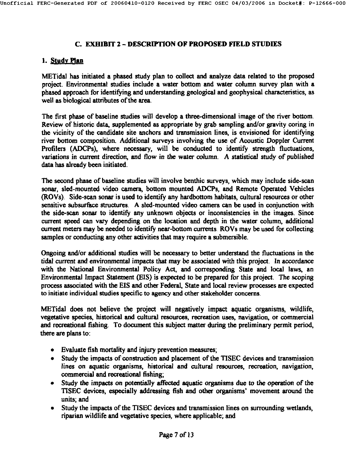## **C. EXHIBIT 2 - DESCRIPTION OF PROPOSED FIELD STUDIES**

## **i. Study Plan**

METidal has initiated a phased study plan to collect and analyze data related to the proposed project. Environmental studies include a water bottom and water column survey plan with a phased approach for identifying and understanding geological and geophysical characteristics, as well as biological attributes of the area.

The first phase of baseline studies will develop a three-dimensional image of the river bottom. Review of historic data, supplemented as appropriate by grab sampling and/or gravity coring in the vicinity of the candidate site anchors and transmission lines, is envisioned for identifying river bottom composition. Additional surveys involving the use of Acoustic Doppler Current Profilers (ADCPs), where necessary, will be conducted to identify strength fluctuations, variations in current direction, and flow in the water column. A statistical study of published data has already been initiated.

The second phase of baseline studies will involve benthic surveys, which may include side-scan sonar, sled-mounted video camera, bottom mounted ADCPs, and Remote Operated Vehicles (ROVs). Side-scan sonar is used to identify any hardbottom habitats, cultural resources or other sensitive subsurface structures. A sled-mounted video camera can be used in conjunction with the side-scan sonar to identify any unknown objects or inconsistencies in the images. Since current speed can vary depending on the location and depth in the water column, additional current meters may be needed to identify near-bottom currents. ROVs may be used for collecting samples or conducting any other activities that may require a submersible.

Ongoing and/or additional studies will be necessary to better understand the fluctuations in the tidal current and environmental impacts that may be associated with this project. In accordance with the National Environmental Policy Act, and corresponding State and local laws, an Environmental Impact Statement CEIS) is expected to be prepared for this project. The scoping process associated with the EIS and other Federal, State and local review processes are expected to initiate individual studies specific to agency and other stakeholder concerns.

METidal does not believe the project will negatively impact aquatic organisms, wildlife, vegetative species, historical and cultural resources, recreation uses, navigation, or commercial and recreational fishing. To document this subject matter during the preliminary permit period, there are plans to:

- Evaluate fish mortality and injury prevention measures,
- Study the impacts of construction and placement of the TISEC devices and transmission lines on aquatic organisms, historical and cultural resources, recreation, navigation, commercial and recreational fishing;
- Study the impacts on potentially affected aquatic organisms due to the operation of the TISEC devices, especially addressing fish and other organisms' movement around the units; and
- Study the impacts of the TISEC devices and transmission lines on surrounding wetlands, riparian wildlife and vegetative species, where applicable, and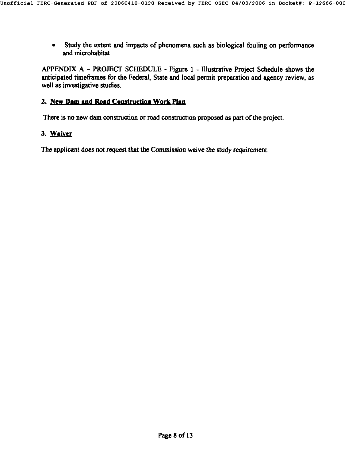• Study the extent and impacts of phenomena such as biological fouling on performance and microhabitat.

APPENDIX A - PROJECT SCHEDULE - Figure 1 - Illustrative Project Schedule shows the anticipated timeframes for the Federal, State and local permit preparation and agency review, as well as investigative studies.

## 2. New Dam and Road Construction Work Plan

There is no new dam construction or road construction proposed as part of the project.

## 3. Waiver

The applicant does not request that the Commission waive the study requirement.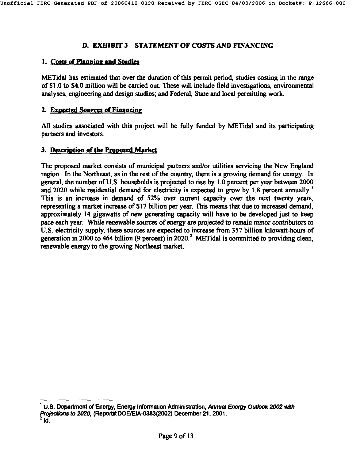## D. EXHIBIT 3 - STATEMENT OF COSTS AND FINANCING

#### 1. Costs of Planning and Studies

METidal has estimated that over the duration of this permit period, studies costing in the range of \$1.0 to \$4.0 million will be carried out. These will include field investigations, environmental analyses, engineering and design studies; and Federal, State and local permitting work.

#### **2. Expected Sources of Financing**

All studies associated with this project will be fully funded by METidal and its participating partners and investors.

#### 3. Description of the Proposed Market

The proposed market consists of municipal partners and/or utilities servicing the New England region. In the Northeast, as in the rest of the country, there is a growing demand for energy. In general, the number of U.S. households is projected to rise by l.O percent per year between 2000 and 2020 while residential demand for electricity is expected to grow by 1.8 percent annually.<sup>1</sup> This is an increase in demand of 52% over current capacity over the next twenty years, representing a market increase of \$17 billion per year. This means that due to increased demand, approximately 14 gigawatts of new generating capacity will have to be developed just to keep pace each year. While renewable sources of energy are projected to remain minor contributors to U.S. electricity supply, these sources are expected to increase from 357 billion kilowatt-hours of generation in 2000 to 464 billion (9 percent) in 2020.<sup>2</sup> METidal is committed to providing clean, renewable energy to the growing Northeast market.

 $1$  U.S. Department of Energy, Energy Information Administration, Annual Energy Outlook 2002 with Projections to 2020; (Report#:DOE/EIA-0383(2002) December 21, 2001.<br> $^2$  Id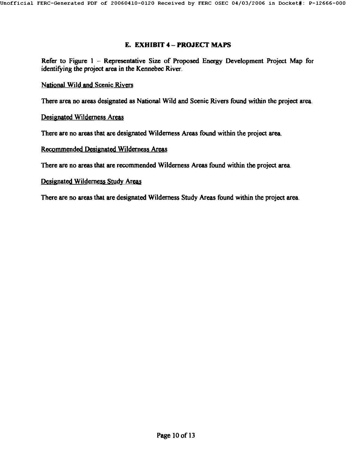#### **E. EXHIBIT 4 - PROJECT MAPS**

Refer to Figure 1 - Representative Size of Proposed Energy Development Project Map for identifying the project area in the *Kennebec* River.

National Wil4 and Scenic Rivers

There area no areas designated as National Wild and Scenic Rivers found within the project area.

#### Designated Wilderness Areas

There are no areas that are designated Wilderness Areas found within the project area.

#### Recommended Designated Wilderness Areas

There are no areas that are recommended Wilderness Areas found within the project area.

#### Designated Wilderness Study Areas

There are no areas that are designated Wilderness Study Areas found within the project area.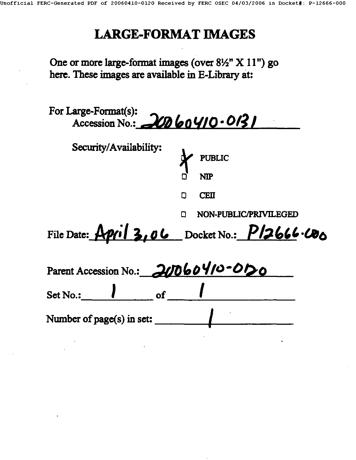## **LARGE-FORMAT IMAGES**

One or more large-format images (over 8½" X 11") go here. These images are available in E-Library **at:** 

| For Large-Format(s):<br>Accession No.: 20060410.0131 |                                               |  |  |
|------------------------------------------------------|-----------------------------------------------|--|--|
| Security/Availability:                               | PUBLIC<br><b>NIP</b>                          |  |  |
|                                                      | <b>CEII</b><br>O                              |  |  |
|                                                      | NON-PUBLIC/PRIVILEGED                         |  |  |
|                                                      | File Date: April 3, 06 Docket No.: P12666.000 |  |  |
| Parent Accession No.: 20060410-0120                  |                                               |  |  |
| $\mathbf{I}$ of<br>Set No.:                          |                                               |  |  |
| Number of page(s) in set:                            |                                               |  |  |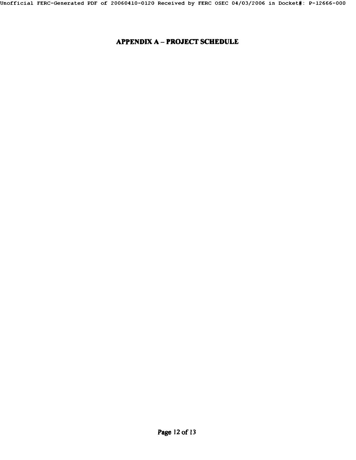## APPENDIX A - PROJECT SCHEDULE